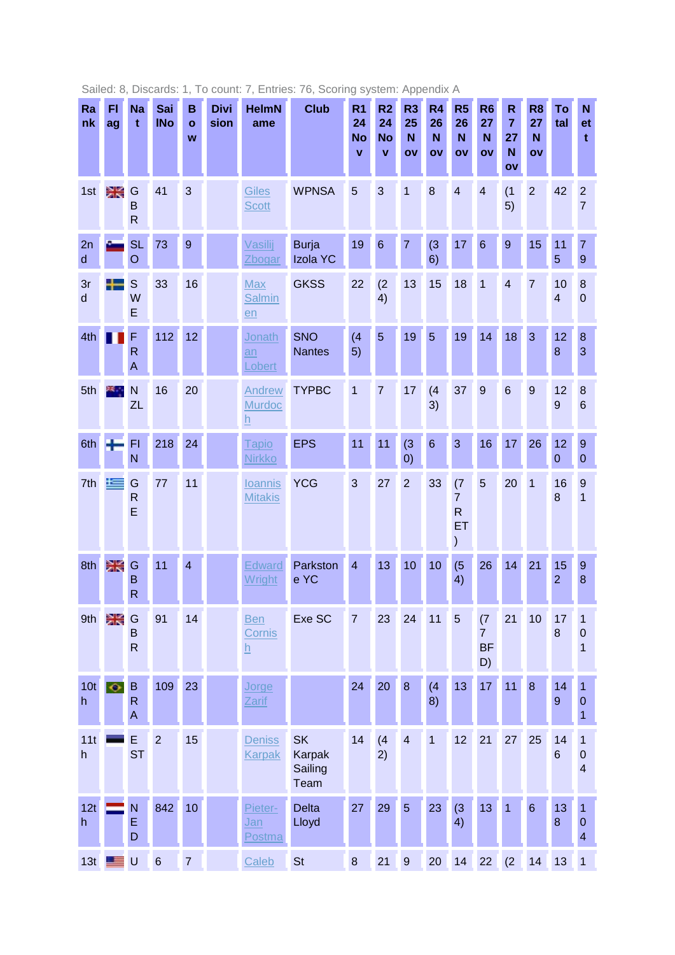| Ra<br>nk              | FI<br>ag             | <b>Na</b><br>$\mathbf t$     | Sai<br><b>INo</b> | B<br>$\mathbf{o}$<br>W | <b>Divi</b><br>sion | <b>HelmN</b><br>ame                        | <b>Club</b>                                   | R <sub>1</sub><br>24<br><b>No</b><br>$\mathbf{V}$ | R <sub>2</sub><br>24<br><b>No</b><br>$\mathbf{v}$ | R <sub>3</sub><br>25<br>N<br>OV | R4<br>26<br>N<br>ov | R <sub>5</sub><br>26<br>N<br>OV                             | R <sub>6</sub><br>27<br>N<br>OV          | $\mathsf{R}$<br>$\overline{7}$<br>27<br>N<br>ov | R <sub>8</sub><br>27<br>N<br>ov | To<br>tal                     | N<br>et<br>$\mathbf t$                               |
|-----------------------|----------------------|------------------------------|-------------------|------------------------|---------------------|--------------------------------------------|-----------------------------------------------|---------------------------------------------------|---------------------------------------------------|---------------------------------|---------------------|-------------------------------------------------------------|------------------------------------------|-------------------------------------------------|---------------------------------|-------------------------------|------------------------------------------------------|
| 1st                   | ≳ਵ                   | G<br>B<br>$\mathsf{R}$       | 41                | 3                      |                     | <b>Giles</b><br><b>Scott</b>               | <b>WPNSA</b>                                  | 5                                                 | 3                                                 | 1                               | 8                   | $\overline{4}$                                              | $\overline{4}$                           | (1)<br>5)                                       | 2                               | 42                            | $\overline{2}$<br>$\overline{7}$                     |
| 2n<br>$\sf d$         |                      | <b>SL</b><br>$\circ$         | 73                | $\overline{9}$         |                     | Vasilij<br>Zbogar                          | <b>Burja</b><br>Izola YC                      | 19                                                | $6\phantom{1}6$                                   | $\overline{7}$                  | (3)<br>6)           | 17                                                          | $6\phantom{1}6$                          | $\overline{9}$                                  | 15                              | 11<br>5                       | $\overline{7}$<br>$\boldsymbol{9}$                   |
| 3r<br>d               |                      | $\mathbb S$<br>W<br>E        | 33                | 16                     |                     | Max<br><b>Salmin</b><br>en                 | <b>GKSS</b>                                   | 22                                                | (2)<br>4)                                         | 13                              | 15                  | 18                                                          | 1                                        | $\overline{4}$                                  | 7                               | 10<br>$\overline{\mathbf{4}}$ | $\bf 8$<br>$\boldsymbol{0}$                          |
| 4th                   |                      | F<br>$\mathsf{R}$<br>A       | 112               | 12                     |                     | Jonath<br>an<br>Lobert                     | <b>SNO</b><br><b>Nantes</b>                   | (4)<br>5)                                         | $\overline{5}$                                    | 19                              | $\overline{5}$      | 19                                                          | 14                                       | 18                                              | 3                               | 12<br>8                       | 8<br>3                                               |
| 5th                   |                      | N<br><b>ZL</b>               | 16                | 20                     |                     | Andrew<br><b>Murdoc</b><br>$\underline{h}$ | <b>TYPBC</b>                                  | $\overline{1}$                                    | $\overline{7}$                                    | 17                              | (4)<br>3)           | 37                                                          | 9                                        | $6\phantom{1}6$                                 | 9                               | 12<br>9                       | 8<br>6                                               |
| 6th                   |                      | FI<br>N                      | 218               | 24                     |                     | <b>Tapio</b><br><b>Nirkko</b>              | <b>EPS</b>                                    | 11                                                | 11                                                | (3)<br>$\left( 0\right)$        | $6\phantom{1}6$     | 3                                                           | 16                                       | 17                                              | 26                              | 12<br>$\boldsymbol{0}$        | $\mathbf{9}$<br>$\pmb{0}$                            |
| 7th                   | $=$                  | G<br>$\mathsf{R}$<br>E       | 77                | 11                     |                     | <b>loannis</b><br><b>Mitakis</b>           | <b>YCG</b>                                    | 3                                                 | 27                                                | $\overline{2}$                  | 33                  | (7)<br>$\overline{7}$<br>$\overline{\mathsf{R}}$<br>ET<br>) | 5                                        | 20                                              | 1                               | 16<br>8                       | 9<br>$\overline{1}$                                  |
| 8th                   | XK                   | G<br>B<br>R                  | 11                | $\overline{4}$         |                     | <b>Edward</b><br>Wright                    | Parkston<br>e YC                              | $\overline{4}$                                    | 13                                                | 10                              | 10                  | (5)<br>4)                                                   | 26                                       | 14                                              | 21                              | 15<br>$\overline{2}$          | $\overline{9}$<br>8                                  |
| 9th                   | Ж                    | G<br>B<br>$\mathsf{R}$       | 91                | 14                     |                     | <b>Ben</b><br>Cornis<br>$\underline{h}$    | Exe SC                                        | $\overline{7}$                                    | 23                                                | 24                              | 11                  | 5                                                           | (7)<br>$\overline{7}$<br><b>BF</b><br>D) | 21                                              | 10                              | 17<br>8                       | 1<br>$\mathbf 0$<br>$\overline{1}$                   |
| 10 <sub>t</sub><br>h. | $\overline{\bullet}$ | $\sf B$<br>$\mathsf{R}$<br>A | 109               | 23                     |                     | Jorge<br>Zarif                             |                                               | 24                                                | 20                                                | $\bf{8}$                        | (4)<br>8)           | 13                                                          | 17                                       | 11                                              | $\boldsymbol{8}$                | 14<br>$\boldsymbol{9}$        | 1<br>$\mathbf 0$<br>$\overline{1}$                   |
| 11t<br>h              |                      | E<br><b>ST</b>               | $\overline{2}$    | 15                     |                     | <b>Deniss</b><br><b>Karpak</b>             | <b>SK</b><br><b>Karpak</b><br>Sailing<br>Team | 14                                                | (4)<br>2)                                         | $\overline{4}$                  | $\overline{1}$      | 12                                                          | 21                                       | 27                                              | 25                              | 14<br>$6\phantom{1}$          | 1<br>$\mathbf 0$<br>$\overline{\mathcal{A}}$         |
| 12t<br>h.             |                      | N<br>E<br>D                  | 842               | 10                     |                     | Pieter-<br>Jan<br>Postma                   | <b>Delta</b><br>Lloyd                         | 27                                                | 29                                                | $\overline{5}$                  | 23                  | (3)<br>4)                                                   | 13                                       | 1                                               | $6\phantom{1}$                  | 13<br>$\bf{8}$                | $\mathbf{1}$<br>$\pmb{0}$<br>$\overline{\mathbf{4}}$ |
| 13t                   | ≡                    | $\cup$                       | $6\phantom{1}$    | $\overline{7}$         |                     | Caleb                                      | <b>St</b>                                     | $\bf 8$                                           | 21                                                | $\overline{9}$                  | 20                  | 14                                                          | 22                                       | (2)                                             | 14                              | 13                            | $\mathbf 1$                                          |

Sailed: 8, Discards: 1, To count: 7, Entries: 76, Scoring system: Appendix A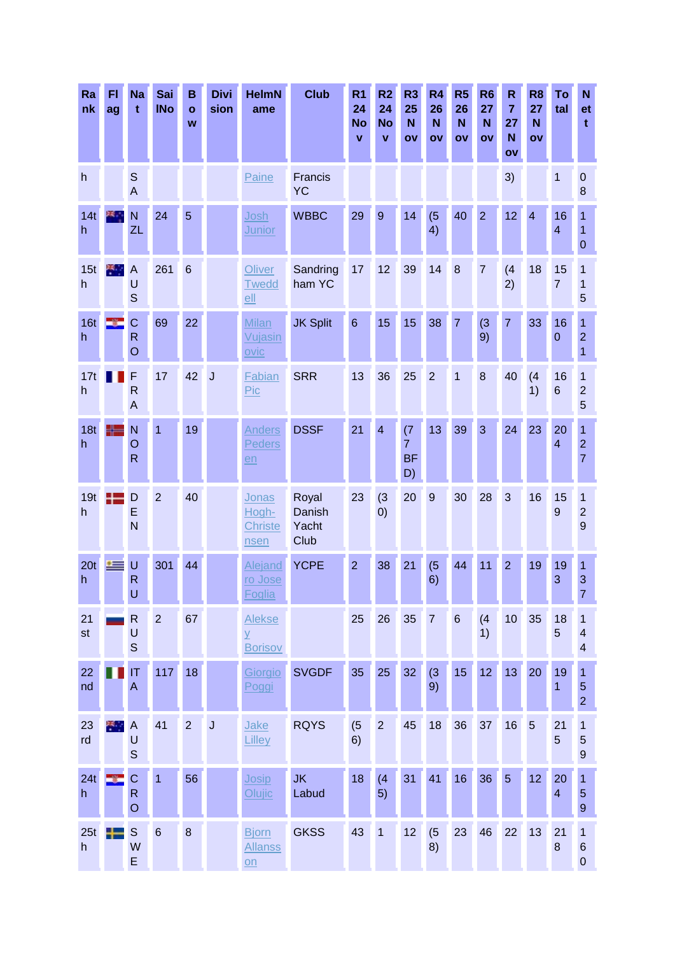| Ra<br>nk             | FI<br>ag | <b>Na</b><br>$\mathbf t$                       | Sai<br><b>INo</b> | В<br>$\mathbf{o}$<br>W | <b>Divi</b><br>sion     | <b>HelmN</b><br>ame                                       | <b>Club</b>                      | R <sub>1</sub><br>24<br><b>No</b><br>$\mathbf{v}$ | R <sub>2</sub><br>24<br><b>No</b><br>$\mathbf{v}$ | R3<br>25<br>N<br>OV                      | R <sub>4</sub><br>26<br>N<br>ov | R <sub>5</sub><br>26<br>N<br>OV | R <sub>6</sub><br>27<br>N<br>OV | $\mathsf R$<br>$\overline{7}$<br>27<br>N<br>ov | R <sub>8</sub><br>27<br>N<br>OV | To<br>tal            | N<br>et<br>$\mathbf t$                            |
|----------------------|----------|------------------------------------------------|-------------------|------------------------|-------------------------|-----------------------------------------------------------|----------------------------------|---------------------------------------------------|---------------------------------------------------|------------------------------------------|---------------------------------|---------------------------------|---------------------------------|------------------------------------------------|---------------------------------|----------------------|---------------------------------------------------|
| h                    |          | $\mathbb S$<br>$\overline{A}$                  |                   |                        |                         | Paine                                                     | Francis<br><b>YC</b>             |                                                   |                                                   |                                          |                                 |                                 |                                 | 3)                                             |                                 | 1                    | $\mathbf 0$<br>8                                  |
| 14t<br>h.            |          | N<br>ZL                                        | 24                | 5                      |                         | Josh<br><b>Junior</b>                                     | <b>WBBC</b>                      | 29                                                | 9                                                 | 14                                       | (5)<br>4)                       | 40                              | $\overline{2}$                  | 12                                             | $\overline{4}$                  | 16<br>$\overline{4}$ | 1<br>1<br>$\mathbf{0}$                            |
| 15t<br>h             | 樂        | $\overline{A}$<br>U<br>$\mathsf{S}$            | 261               | $6\phantom{1}6$        |                         | Oliver<br><b>Twedd</b><br>ell                             | Sandring<br>ham YC               | 17                                                | 12                                                | 39                                       | 14                              | 8                               | $\overline{7}$                  | (4)<br>2)                                      | 18                              | 15<br>$\overline{7}$ | 1<br>1<br>5                                       |
| 16t<br>h             |          | Ċ<br>$\overline{\mathsf{R}}$<br>$\overline{O}$ | 69                | 22                     |                         | <b>Milan</b><br>Vujasin<br>ovic                           | <b>JK Split</b>                  | $6\phantom{1}6$                                   | 15                                                | 15                                       | 38                              | $\overline{7}$                  | (3)<br>9)                       | $\overline{7}$                                 | 33                              | 16<br>$\mathbf{0}$   | 1<br>$\overline{2}$<br>$\overline{1}$             |
| 17t<br>h             |          | F<br>$\mathsf{R}$<br>$\mathsf{A}$              | 17                | 42                     | $\overline{\mathsf{J}}$ | Fabian<br>Pic                                             | <b>SRR</b>                       | 13                                                | 36                                                | 25                                       | $\overline{2}$                  | $\overline{1}$                  | 8                               | 40                                             | (4)<br>1)                       | 16<br>$6\phantom{1}$ | 1<br>$\overline{2}$<br>5                          |
| 18t<br>h             |          | N<br>O<br>$\overline{\mathsf{R}}$              | 1                 | 19                     |                         | <b>Anders</b><br>Peders<br>en                             | <b>DSSF</b>                      | 21                                                | $\overline{4}$                                    | (7)<br>$\overline{7}$<br><b>BF</b><br>D) | 13                              | 39                              | 3                               | 24                                             | 23                              | 20<br>$\overline{4}$ | $\mathbf{1}$<br>$\overline{2}$<br>$\overline{7}$  |
| 19t<br>h             |          | D<br>E<br>N                                    | $\overline{2}$    | 40                     |                         | Jonas<br>Hogh-<br><b>Christe</b><br>nsen                  | Royal<br>Danish<br>Yacht<br>Club | 23                                                | (3)<br>(0)                                        | 20                                       | 9                               | 30                              | 28                              | 3                                              | 16                              | 15<br>9              | $\mathbf{1}$<br>$\overline{c}$<br>9               |
| 20 <sub>t</sub><br>h |          | U<br>R<br>U                                    | 301               | 44                     |                         | Alejand<br>ro Jose<br>Foglia                              | <b>YCPE</b>                      | $\overline{2}$                                    | 38                                                | 21                                       | (5)<br>6)                       | 44                              | 11                              | $\overline{2}$                                 | 19                              | 19<br>3              | 1<br>$\mathbf{3}$<br>$\overline{7}$               |
| 21<br>st             |          | R<br>U<br>$\mathbb S$                          | $\overline{2}$    | 67                     |                         | <b>Alekse</b><br>$\overline{Y}$<br><b>Borisov</b>         |                                  | 25                                                | 26                                                | 35                                       | $\overline{7}$                  | $6\phantom{1}6$                 | (4)<br>1)                       | 10 <sup>1</sup>                                | 35                              | 18<br>5              | 1<br>$\overline{\mathcal{A}}$<br>$\overline{4}$   |
| 22<br>nd             |          | IT<br>A                                        | 117               | 18                     |                         | Giorgio<br>Poggi                                          | <b>SVGDF</b>                     | 35                                                | 25                                                | 32                                       | (3)<br>9)                       | 15                              | 12                              | 13 <sup>°</sup>                                | 20                              | 19<br>$\mathbf{1}$   | $\mathbf{1}$<br>$\overline{5}$<br>$\overline{2}$  |
| 23<br>rd             | ж.,      | A<br>U<br>$\mathsf{S}$                         | 41                | $\overline{2}$         | $\overline{\mathsf{J}}$ | Jake<br>Lilley                                            | <b>RQYS</b>                      | (5)<br>6)                                         | $\overline{2}$                                    | 45                                       | 18                              | 36                              | 37                              | 16                                             | $5\phantom{.0}$                 | 21<br>5              | $\mathbf{1}$<br>5<br>$\overline{9}$               |
| 24t<br>h             |          | $\mathsf C$<br>R<br>$\circ$                    | $\overline{1}$    | 56                     |                         | Josip<br>Olujic                                           | <b>JK</b><br>Labud               | 18                                                | (4)<br>5)                                         | 31                                       | 41                              | 16                              | 36                              | 5                                              | 12                              | 20<br>$\overline{4}$ | $\overline{1}$<br>5<br>$\overline{9}$             |
| 25t<br>h             |          | $\mathbb S$<br>W<br>E                          | $6\phantom{1}$    | $\bf 8$                |                         | <b>Bjorn</b><br><b>Allanss</b><br>$\underline{\text{on}}$ | <b>GKSS</b>                      | 43                                                | $\mathbf{1}$                                      | 12                                       | (5)<br>8)                       | 23                              | 46                              | 22                                             | 13                              | 21<br>$\bf 8$        | $\overline{1}$<br>$\boldsymbol{6}$<br>$\mathbf 0$ |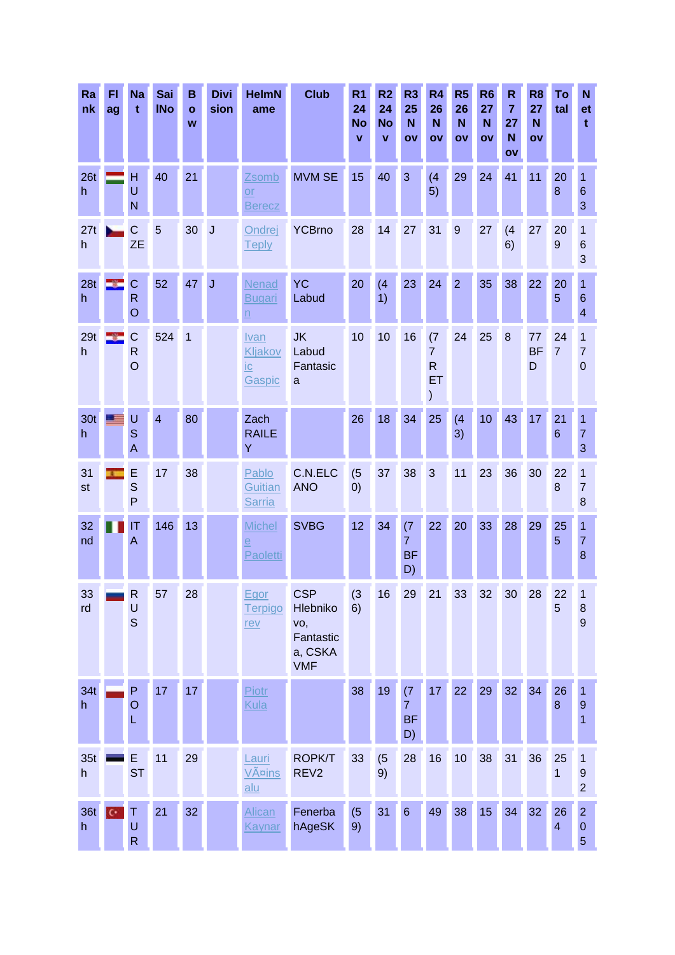| Ra<br>nk             | FI<br>ag       | <b>Na</b><br>$\mathbf t$                  | Sai<br><b>INo</b> | B<br>$\mathbf{o}$<br>W | <b>Divi</b><br>sion     | <b>HelmN</b><br>ame                         | <b>Club</b>                                                         | R <sub>1</sub><br>24<br><b>No</b><br>$\mathbf v$ | R2<br>24<br><b>No</b><br>$\mathbf{v}$ | R <sub>3</sub><br>25<br>N<br>OV          | R <sub>4</sub><br>26<br>N<br>OV                              | R <sub>5</sub><br>26<br>N<br>OV | R <sub>6</sub><br>27<br>N<br>ov | $\mathsf{R}$<br>$\overline{7}$<br>27<br>N<br>OV | R <sub>8</sub><br>27<br>N<br>OV | To<br>tal                     | N<br>et<br>t                                 |
|----------------------|----------------|-------------------------------------------|-------------------|------------------------|-------------------------|---------------------------------------------|---------------------------------------------------------------------|--------------------------------------------------|---------------------------------------|------------------------------------------|--------------------------------------------------------------|---------------------------------|---------------------------------|-------------------------------------------------|---------------------------------|-------------------------------|----------------------------------------------|
| 26 <sub>t</sub><br>h |                | H<br>U<br>$\mathsf{N}$                    | 40                | 21                     |                         | Zsomb<br>$\overline{or}$<br><b>Berecz</b>   | <b>MVM SE</b>                                                       | 15                                               | 40                                    | 3                                        | (4)<br>5)                                                    | 29                              | 24                              | 41                                              | 11                              | 20<br>8                       | 1<br>$6\phantom{1}6$<br>3                    |
| 27t<br>h             |                | $\mathbf C$<br><b>ZE</b>                  | 5                 | 30 <sup>°</sup>        | $\overline{\mathsf{J}}$ | Ondrej<br><b>Teply</b>                      | <b>YCBrno</b>                                                       | 28                                               | 14                                    | 27                                       | 31                                                           | 9                               | 27                              | (4)<br>6)                                       | 27                              | 20<br>9                       | $\overline{1}$<br>$6\phantom{1}6$<br>3       |
| 28t<br>h.            |                | $\mathsf{C}$<br>$\mathsf{R}$<br>$\circ$   | 52                | 47                     | J                       | Nenad<br>Bugari<br>$\underline{n}$          | <b>YC</b><br>Labud                                                  | 20                                               | (4)<br>1)                             | 23                                       | 24                                                           | $\overline{2}$                  | 35                              | 38                                              | 22                              | 20<br>5                       | 1<br>$6\phantom{1}6$<br>$\overline{4}$       |
| 29t<br>h.            |                | $\mathsf{C}$<br>$\mathsf{R}$<br>$\circ$   | 524               | 1                      |                         | Ivan<br>Kljakov<br>ic<br>Gaspic             | <b>JK</b><br>Labud<br>Fantasic<br>a                                 | 10                                               | 10                                    | 16                                       | (7)<br>$\overline{7}$<br>$\mathsf{R}$<br>ET<br>$\mathcal{)}$ | 24                              | 25                              | 8                                               | 77<br><b>BF</b><br>D            | 24<br>$\overline{7}$          | 1<br>$\overline{7}$<br>$\overline{0}$        |
| 30 <sub>t</sub><br>h |                | U<br>S<br>A                               | $\overline{4}$    | 80                     |                         | Zach<br><b>RAILE</b><br>Y                   |                                                                     | 26                                               | 18                                    | 34                                       | 25                                                           | (4)<br>3)                       | 10                              | 43                                              | 17                              | 21<br>$6\phantom{1}$          | 1<br>$\overline{7}$<br>3                     |
| 31<br>st             |                | E<br>$\mathsf{S}$<br>${\sf P}$            | 17                | 38                     |                         | Pablo<br>Guitian<br><b>Sarria</b>           | C.N.ELC<br><b>ANO</b>                                               | (5)<br>$\left( 0\right)$                         | 37                                    | 38                                       | 3                                                            | 11                              | 23                              | 36                                              | 30                              | 22<br>8                       | 1<br>$\overline{7}$<br>$\boldsymbol{8}$      |
| 32<br>nd             |                | IT<br>A                                   | 146               | 13                     |                         | <b>Michel</b><br>$\overline{e}$<br>Paoletti | <b>SVBG</b>                                                         | 12                                               | 34                                    | (7)<br>$\overline{7}$<br><b>BF</b><br>D) | 22                                                           | 20                              | 33                              | 28                                              | 29                              | 25<br>5                       | 1<br>$\overline{7}$<br>$\boldsymbol{8}$      |
| 33<br>rd             |                | $R_{\parallel}$<br>$\cup$<br>$\mathsf{S}$ | 57                | 28                     |                         | <b>Egor</b><br><b>Terpigo</b><br><u>rev</u> | <b>CSP</b><br>Hlebniko<br>vo,<br>Fantastic<br>a, CSKA<br><b>VMF</b> | (3)<br>6)                                        | 16                                    |                                          |                                                              | 29 21 33 32 30 28               |                                 |                                                 |                                 | 22<br>5                       | 1<br>8<br>9                                  |
| 34t<br>h             |                | P<br>$\circ$<br>L                         | 17                | 17                     |                         | Piotr<br>Kula                               |                                                                     | 38                                               | 19                                    | (7)<br>$\overline{7}$<br><b>BF</b><br>D) | 17                                                           | 22                              | 29                              | 32 <sup>°</sup>                                 | 34                              | 26<br>8                       | 1<br>$\overline{9}$<br>1                     |
| 35t<br>h             |                | E<br><b>ST</b>                            | 11                | 29                     |                         | Lauri<br><u>Väins</u><br>alu                | <b>ROPK/T</b><br>REV <sub>2</sub>                                   | 33                                               | (5)<br>9)                             | 28                                       | 16                                                           | 10                              | 38                              | 31                                              | 36                              | 25<br>1                       | 1<br>$\overline{9}$<br>$\overline{2}$        |
| 36t<br>h             | $\mathfrak{c}$ | Τ<br>$\sf U$<br>$\mathsf{R}$              | 21                | 32                     |                         | Alican<br><b>Kaynar</b>                     | Fenerba<br>hAgeSK                                                   | (5)<br>9)                                        | 31                                    | $6\phantom{1}$                           | 49                                                           | 38                              | 15 <sub>15</sub>                | 34                                              | 32                              | 26<br>$\overline{\mathbf{4}}$ | $\overline{2}$<br>$\theta$<br>$\overline{5}$ |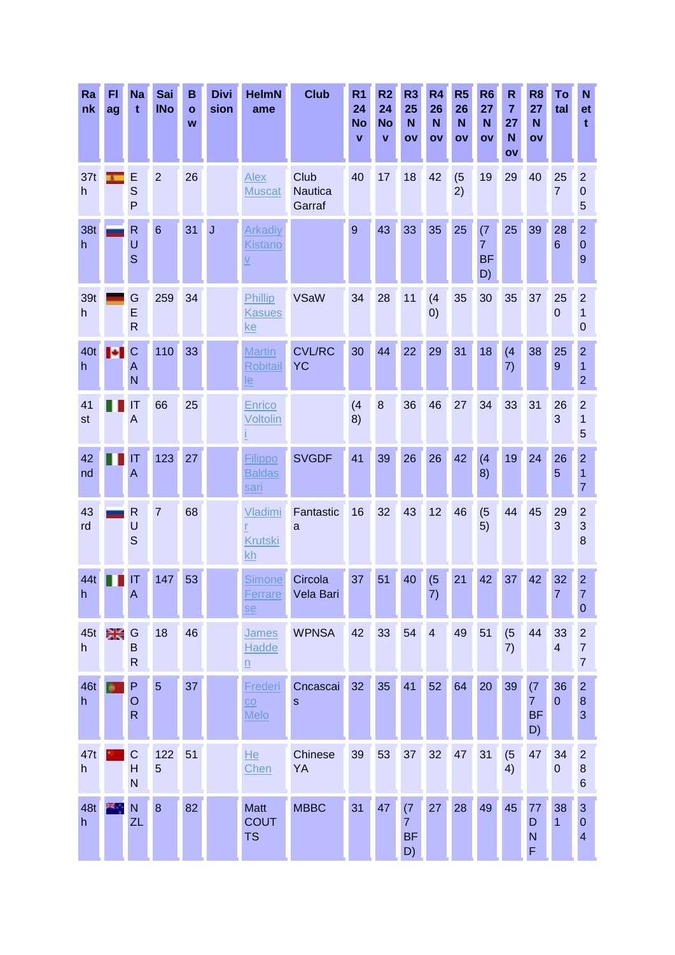| Ra<br>nk            | FI<br>ag | <b>Na</b><br>$\mathbf t$          | Sai<br><b>INo</b> | B<br>$\mathbf{o}$<br>W | <b>Divi</b><br>sion | <b>HelmN</b><br>ame                                          | <b>Club</b>                | R <sub>1</sub><br>24<br><b>No</b><br>v | R <sub>2</sub><br>24<br><b>No</b><br>$\mathbf{v}$ | R <sub>3</sub><br>25<br>N<br>OV          | R <sub>4</sub><br>26<br>N<br>OV | R <sub>5</sub><br>26<br>N<br>OV | R <sub>6</sub><br>27<br>N<br>OV          | $\mathsf R$<br>$\overline{7}$<br>27<br>N<br>ov | R <sub>8</sub><br>27<br>N<br>ΟV          | To<br>tal                     | N<br><b>et</b><br>t                                |
|---------------------|----------|-----------------------------------|-------------------|------------------------|---------------------|--------------------------------------------------------------|----------------------------|----------------------------------------|---------------------------------------------------|------------------------------------------|---------------------------------|---------------------------------|------------------------------------------|------------------------------------------------|------------------------------------------|-------------------------------|----------------------------------------------------|
| 37t<br>h            |          | E<br>S<br>P                       | $\overline{2}$    | 26                     |                     | Alex<br><b>Muscat</b>                                        | Club<br>Nautica<br>Garraf  | 40                                     | 17                                                | 18                                       | 42                              | (5)<br>2)                       | 19                                       | 29                                             | 40                                       | 25<br>$\overline{7}$          | $\overline{2}$<br>$\mathbf 0$<br>5                 |
| 38t<br>$\mathsf{h}$ |          | R<br>U<br>$\mathbf S$             | 6                 | 31                     | J                   | <b>Arkadiy</b><br><b>Kistano</b><br>$\underline{\mathsf{V}}$ |                            | 9                                      | 43                                                | 33                                       | 35                              | 25                              | (7)<br>$\overline{7}$<br><b>BF</b><br>D) | 25                                             | 39                                       | 28<br>$6\phantom{1}$          | $\overline{2}$<br>$\mathbf 0$<br>9                 |
| 39t<br>h            |          | G<br>E<br>$\mathsf{R}$            | 259               | 34                     |                     | <b>Phillip</b><br><b>Kasues</b><br><u>ke</u>                 | <b>VSaW</b>                | 34                                     | 28                                                | 11                                       | (4)<br>$\left( 0\right)$        | 35                              | 30                                       | 35                                             | 37                                       | 25<br>$\mathbf 0$             | $\overline{2}$<br>1<br>$\mathbf 0$                 |
| 40t<br>h            |          | C<br>A<br>N                       | 110               | 33                     |                     | <b>Martin</b><br><b>Robitail</b><br>$le$                     | <b>CVL/RC</b><br><b>YC</b> | 30                                     | 44                                                | 22                                       | 29                              | 31                              | 18                                       | (4)<br>7)                                      | 38                                       | 25<br>9                       | $\overline{2}$<br>1<br>$\overline{2}$              |
| 41<br>st            |          | $\mathsf{I}\mathsf{T}$<br>A       | 66                | 25                     |                     | Enrico<br>Voltolin                                           |                            | (4)<br>8)                              | 8                                                 | 36                                       | 46                              | 27                              | 34                                       | 33                                             | 31                                       | 26<br>3                       | $\overline{2}$<br>1<br>5                           |
| 42<br>nd            |          | ΙT<br>A                           | 123               | 27                     |                     | Filippo<br><b>Baldas</b><br><u>sari</u>                      | <b>SVGDF</b>               | 41                                     | 39                                                | 26                                       | 26                              | 42                              | (4)<br>8)                                | 19                                             | 24                                       | 26<br>5                       | $\overline{2}$<br>1<br>$\overline{7}$              |
| 43<br>rd            |          | R<br>U<br>S                       | $\overline{7}$    | 68                     |                     | Vladimi<br><b>Krutski</b><br>kh                              | Fantastic<br>a             | 16                                     | 32                                                | 43                                       | 12                              | 46                              | (5)<br>5)                                | 44                                             | 45                                       | 29<br>3                       | $\overline{2}$<br>3<br>8                           |
| 44t<br>$\mathsf{n}$ |          | IT<br>$\overline{A}$              | 147               | 53                     |                     | <b>Simone</b><br>Ferrare<br><u>se</u>                        | Circola<br>Vela Bari       | 37                                     | 51                                                | 40                                       | (5)<br>7)                       | 21                              | 42                                       | 37                                             | 42                                       | 32<br>7                       | $\overline{2}$<br>7<br>$\theta$                    |
| 45t<br>h            | D.       | G<br>B<br>$\mathsf{R}$            | 18                | 46                     |                     | <b>James</b><br>Hadde<br>$\underline{n}$                     | <b>WPNSA</b>               | 42                                     | 33                                                | 54                                       | $\overline{4}$                  | 49                              | 51                                       | (5)<br>7)                                      | 44                                       | 33<br>$\overline{\mathbf{4}}$ | $\overline{c}$<br>$\overline{7}$<br>$\overline{7}$ |
| 46t<br>h            |          | P<br>$\circ$<br>$\mathsf{R}$      | $\overline{5}$    | 37                     |                     | Frederi<br>CO<br><b>Melo</b>                                 | Cncascai<br>$\mathbf S$    | 32                                     | 35                                                | 41                                       | 52                              | 64                              | 20                                       | 39                                             | (7)<br>$\overline{7}$<br><b>BF</b><br>D) | 36<br>$\mathbf{0}$            | $\overline{2}$<br>$\boldsymbol{8}$<br>3            |
| 47t<br>h            |          | $\mathsf{C}$<br>$\mathsf{H}$<br>N | 122<br>5          | 51                     |                     | He<br>Chen                                                   | Chinese<br>YA              | 39                                     | 53                                                | 37                                       | 32 <sup>2</sup>                 | 47                              | 31                                       | (5)<br>4)                                      | 47                                       | 34<br>$\pmb{0}$               | $\overline{c}$<br>$\boldsymbol{8}$<br>$\,6$        |
| 48t<br>h            |          | N<br>ZL                           | $\boldsymbol{8}$  | 82                     |                     | <b>Matt</b><br><b>COUT</b><br><b>TS</b>                      | <b>MBBC</b>                | 31                                     | 47                                                | (7)<br>$\overline{7}$<br><b>BF</b><br>D) | 27                              | 28                              | 49                                       | 45                                             | 77<br>D<br>N<br>F                        | 38<br>$\overline{1}$          | $\mathbf{3}$<br>$\theta$<br>$\overline{4}$         |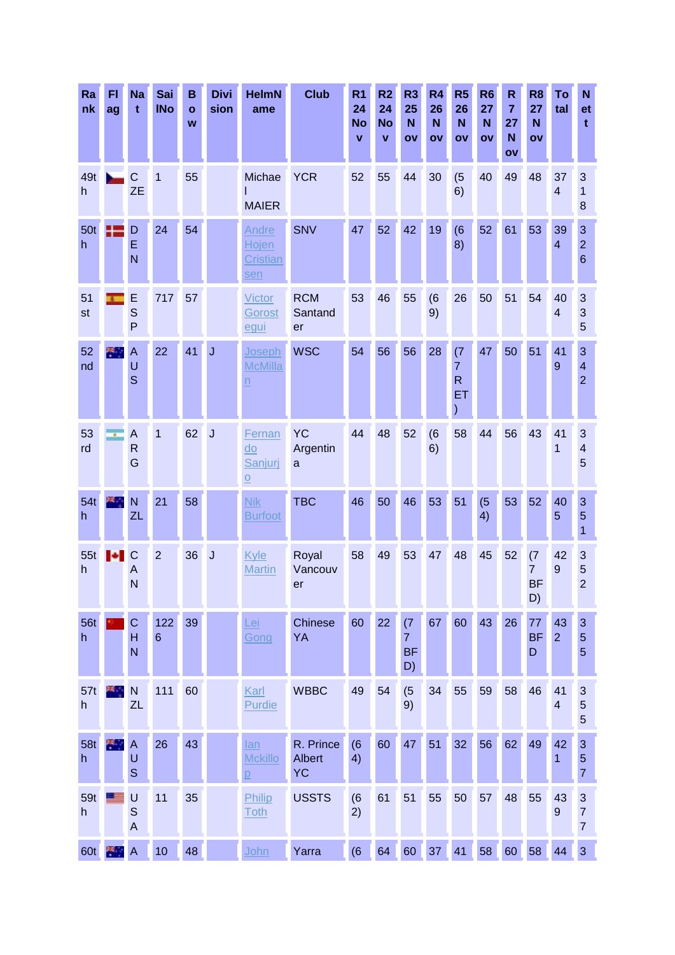| Ra<br>nk        | FI<br>ag | <b>Na</b><br>t                                     | Sai<br><b>INo</b>      | B<br>$\mathbf{o}$<br>W | <b>Divi</b><br>sion | <b>HelmN</b><br>ame                                            | <b>Club</b>                             | R <sub>1</sub><br>24<br><b>No</b><br>$\mathbf v$ | R <sub>2</sub><br>24<br><b>No</b><br>$\mathbf{v}$ | R <sub>3</sub><br>25<br>N<br>OV          | R <sub>4</sub><br>26<br>N<br>OV | R <sub>5</sub><br>26<br>N<br>OV             | R <sub>6</sub><br>27<br>N<br>OV | $\mathsf R$<br>$\overline{7}$<br>27<br>N<br>ov | R <sub>8</sub><br>27<br>N<br>ΟV          | To<br>tal                     | N<br>et<br>t                                      |
|-----------------|----------|----------------------------------------------------|------------------------|------------------------|---------------------|----------------------------------------------------------------|-----------------------------------------|--------------------------------------------------|---------------------------------------------------|------------------------------------------|---------------------------------|---------------------------------------------|---------------------------------|------------------------------------------------|------------------------------------------|-------------------------------|---------------------------------------------------|
| 49t<br>h        |          | $\mathsf{C}$<br><b>ZE</b>                          | $\overline{1}$         | 55                     |                     | Michae<br><b>MAIER</b>                                         | <b>YCR</b>                              | 52                                               | 55                                                | 44                                       | 30                              | (5)<br>6)                                   | 40                              | 49                                             | 48                                       | 37<br>$\overline{4}$          | 3<br>$\mathbf{1}$<br>8                            |
| 50t<br>h.       | Æ        | D<br>E<br>N                                        | 24                     | 54                     |                     | Andre<br>Hojen<br><b>Cristian</b><br>sen                       | <b>SNV</b>                              | 47                                               | 52                                                | 42                                       | 19                              | (6)<br>8)                                   | 52                              | 61                                             | 53                                       | 39<br>$\overline{4}$          | $\mathbf{3}$<br>$\overline{2}$<br>$6\phantom{1}6$ |
| 51<br>st        |          | E<br>S<br>P                                        | 717                    | 57                     |                     | <b>Victor</b><br>Gorost<br>egui                                | <b>RCM</b><br>Santand<br>er             | 53                                               | 46                                                | 55                                       | (6)<br>9)                       | 26                                          | 50                              | 51                                             | 54                                       | 40<br>$\overline{\mathbf{4}}$ | 3<br>3<br>$\overline{5}$                          |
| 52<br>nd        | 樂        | $\boldsymbol{\mathsf{A}}$<br>U<br>S                | 22                     | 41                     | J                   | Joseph<br><b>McMilla</b><br>$\underline{n}$                    | <b>WSC</b>                              | 54                                               | 56                                                | 56                                       | 28                              | (7)<br>$\overline{7}$<br>$\mathsf{R}$<br>ET | 47                              | 50                                             | 51                                       | 41<br>9                       | 3<br>$\overline{4}$<br>$\overline{2}$             |
| 53<br>rd        |          | A<br>$\mathsf{R}$<br>G                             | 1                      | 62                     | $\overline{J}$      | Fernan<br>$\overline{d}$<br>Sanjuri<br>$\overline{\mathsf{O}}$ | <b>YC</b><br>Argentin<br>a              | 44                                               | 48                                                | 52                                       | (6)<br>6)                       | 58                                          | 44                              | 56                                             | 43                                       | 41<br>1                       | 3<br>$\overline{\mathcal{A}}$<br>5                |
| 54t<br>h        |          | N<br><b>ZL</b>                                     | 21                     | 58                     |                     | <b>Nik</b><br><b>Burfoot</b>                                   | <b>TBC</b>                              | 46                                               | 50                                                | 46                                       | 53                              | 51                                          | (5)<br>4)                       | 53                                             | 52                                       | 40<br>5                       | 3<br>$\overline{5}$<br>1                          |
| 55t<br>h.       | м        | $\mathsf{C}$<br>A<br>N                             | $\overline{2}$         | 36                     | $\overline{J}$      | Kyle<br><b>Martin</b>                                          | Royal<br>Vancouv<br>er                  | 58                                               | 49                                                | 53                                       | 47                              | 48                                          | 45                              | 52                                             | (7)<br>$\overline{7}$<br><b>BF</b><br>D) | 42<br>9                       | 3<br>5<br>$\overline{2}$                          |
| 56t<br>h        |          | $\mathsf C$<br>$\overline{H}$<br>N                 | 122<br>$6\phantom{1}6$ | 39                     |                     | Lei<br>Gong                                                    | <b>Chinese</b><br>YA                    | 60                                               | 22                                                | (7)<br>$\overline{7}$<br><b>BF</b><br>D) | 67                              | 60                                          | 43                              | 26                                             | 77<br><b>BF</b><br>D                     | 43<br>$\overline{2}$          | $\mathbf{3}$<br>$\overline{5}$<br>$\overline{5}$  |
| 57t<br>h        |          | $\mathsf{N}$<br>ZL                                 | 111                    | 60                     |                     | Karl<br><b>Purdie</b>                                          | <b>WBBC</b>                             | 49                                               | 54                                                | (5)<br>9)                                | 34                              | 55                                          | 59                              | 58                                             | 46                                       | 41<br>$\overline{\mathbf{4}}$ | $\mathbf{3}$<br>5<br>$\overline{5}$               |
| <b>58t</b><br>h | 类型       | $\boldsymbol{\mathsf{A}}$<br>$\cup$<br>$\mathbf S$ | 26                     | 43                     |                     | lan<br><b>Mckillo</b><br>p                                     | R. Prince<br><b>Albert</b><br><b>YC</b> | (6)<br>4)                                        | 60                                                | 47                                       | 51                              | 32                                          | 56                              | 62                                             | 49                                       | 42<br>1                       | $\mathbf{3}$<br>$\overline{5}$<br>$\overline{7}$  |
| 59t<br>h        |          | $\cup$<br>$\mathsf S$<br>$\overline{A}$            | 11                     | 35                     |                     | Philip<br><b>Toth</b>                                          | <b>USSTS</b>                            | (6)<br>2)                                        | 61                                                | 51                                       | 55                              | 50                                          | 57                              | 48                                             | 55                                       | 43<br>$9\,$                   | $\sqrt{3}$<br>$\overline{7}$<br>$\overline{7}$    |
| 60t             | PA .     | $\overline{A}$                                     | 10                     | 48                     |                     | <u>John</u>                                                    | Yarra                                   | (6)                                              | 64                                                | 60                                       | 37                              | 41                                          | 58                              | 60                                             | 58                                       | 44                            | $\overline{3}$                                    |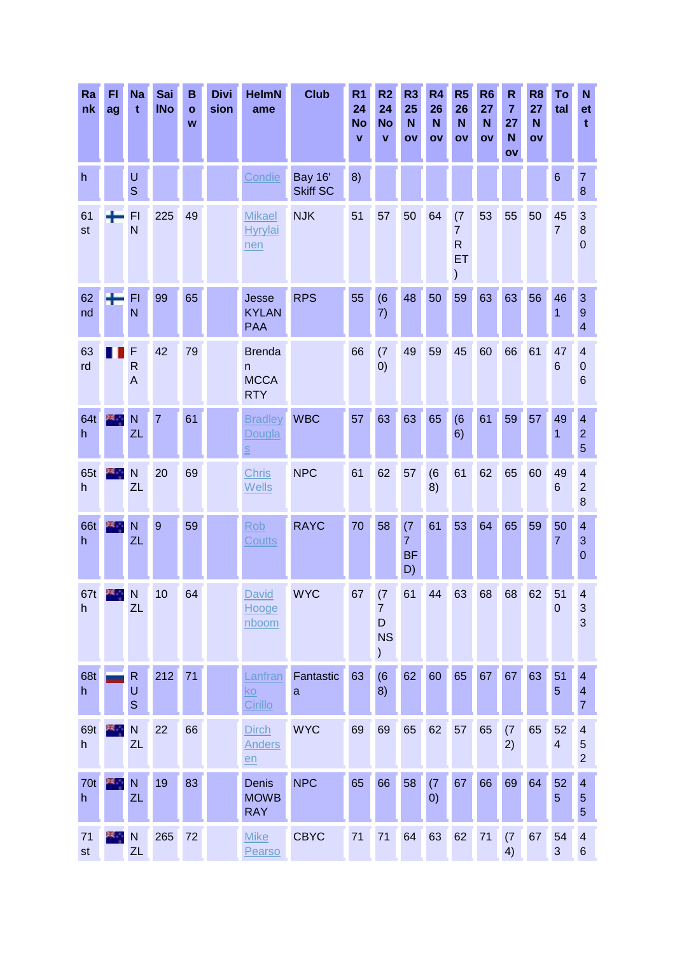| Ra<br>nk  | FI<br>ag | <b>Na</b><br>t                      | Sai<br><b>INo</b> | B<br>$\mathbf{o}$<br>W | <b>Divi</b><br>sion | <b>HelmN</b><br>ame                                              | <b>Club</b>                       | R <sub>1</sub><br>24<br><b>No</b><br>$\mathbf v$ | R <sub>2</sub><br>24<br><b>No</b><br>v                              | R <sub>3</sub><br>25<br>N<br>OV          | R <sub>4</sub><br>26<br>N<br>OV | R <sub>5</sub><br>26<br>N<br>OV                  | R <sub>6</sub><br>27<br>N<br>OV | $\mathsf R$<br>$\overline{7}$<br>27<br>N<br>$\mathbf{O}$ | R <sub>8</sub><br>27<br>N<br>ov | To<br>tal            | $\mathbf N$<br>et<br>t.                                      |
|-----------|----------|-------------------------------------|-------------------|------------------------|---------------------|------------------------------------------------------------------|-----------------------------------|--------------------------------------------------|---------------------------------------------------------------------|------------------------------------------|---------------------------------|--------------------------------------------------|---------------------------------|----------------------------------------------------------|---------------------------------|----------------------|--------------------------------------------------------------|
| h         |          | $\cup$<br>$\mathbf S$               |                   |                        |                     | Condie                                                           | <b>Bay 16'</b><br><b>Skiff SC</b> | 8)                                               |                                                                     |                                          |                                 |                                                  |                                 |                                                          |                                 | $6\phantom{1}6$      | $\overline{7}$<br>8                                          |
| 61<br>st  |          | F1<br>N                             | 225               | 49                     |                     | <b>Mikael</b><br><b>Hyrylai</b><br>nen                           | <b>NJK</b>                        | 51                                               | 57                                                                  | 50                                       | 64                              | (7)<br>$\overline{7}$<br>$\mathsf{R}$<br>ET<br>) | 53                              | 55                                                       | 50                              | 45<br>$\overline{7}$ | $\mathbf{3}$<br>$\bf 8$<br>$\overline{0}$                    |
| 62<br>nd  |          | FI<br>N                             | 99                | 65                     |                     | Jesse<br><b>KYLAN</b><br><b>PAA</b>                              | <b>RPS</b>                        | 55                                               | (6)<br>7)                                                           | 48                                       | 50                              | 59                                               | 63                              | 63                                                       | 56                              | 46<br>1              | 3<br>$\overline{9}$<br>$\overline{4}$                        |
| 63<br>rd  |          | F<br>$\mathsf{R}$<br>$\overline{A}$ | 42                | 79                     |                     | <b>Brenda</b><br>n.<br><b>MCCA</b><br><b>RTY</b>                 |                                   | 66                                               | (7)<br>0)                                                           | 49                                       | 59                              | 45                                               | 60                              | 66                                                       | 61                              | 47<br>$6\phantom{1}$ | 4<br>$\mathbf 0$<br>$6\phantom{1}6$                          |
| 64t<br>h  |          | N<br>ZL                             | $\overline{7}$    | 61                     |                     | <b>Bradley</b><br>Dougla<br>$\underline{\underline{\mathsf{S}}}$ | <b>WBC</b>                        | 57                                               | 63                                                                  | 63                                       | 65                              | (6)<br>6)                                        | 61                              | 59                                                       | 57                              | 49<br>1              | $\overline{\mathbf{4}}$<br>$\overline{2}$<br>5               |
| 65t<br>h. |          | N<br>ZL                             | 20                | 69                     |                     | <b>Chris</b><br><b>Wells</b>                                     | <b>NPC</b>                        | 61                                               | 62                                                                  | 57                                       | (6)<br>8)                       | 61                                               | 62                              | 65                                                       | 60                              | 49<br>6              | $\overline{\mathbf{4}}$<br>$\overline{2}$<br>$\bf{8}$        |
| 66t<br>h  |          | N<br>ZL                             | 9                 | 59                     |                     | Rob<br><b>Coutts</b>                                             | <b>RAYC</b>                       | 70                                               | 58                                                                  | (7)<br>$\overline{7}$<br><b>BF</b><br>D) | 61                              | 53                                               | 64                              | 65                                                       | 59                              | 50<br>$\overline{7}$ | $\overline{\mathbf{4}}$<br>3<br>$\overline{0}$               |
| 67t<br>h  |          | $X + N$<br>ZL                       | 10                | 64                     |                     | David<br>Hooge<br>nboom                                          | <b>WYC</b>                        |                                                  | 67 (7<br>$\overline{7}$<br>D<br><b>NS</b><br>$\mathcal{C}^{\prime}$ |                                          | 61 44                           |                                                  | 63 68                           | 68                                                       | 62                              | 51<br>$\overline{0}$ | $\overline{\mathcal{L}}$<br>3<br>3                           |
| 68t<br>h  |          | R<br>U<br>$\mathbf S$               | 212               | 71                     |                     | Lanfran<br>ko<br>Cirillo                                         | Fantastic<br>$\mathbf{a}$         | 63                                               | (6)<br>8)                                                           | 62                                       | 60                              | 65                                               | 67                              | 67                                                       | 63                              | 51<br>$\overline{5}$ | $\overline{4}$<br>$\overline{\mathcal{A}}$<br>$\overline{7}$ |
| 69t<br>h  |          | $\overline{\mathsf{N}}$<br>ZL       | 22                | 66                     |                     | <b>Dirch</b><br><b>Anders</b><br>en                              | <b>WYC</b>                        | 69                                               | 69                                                                  | 65                                       | 62                              | 57                                               | 65                              | (7)<br>2)                                                | 65                              | 52<br>$\overline{4}$ | $\overline{\mathbf{4}}$<br>$\overline{5}$<br>$\overline{2}$  |
| 70t<br>h  | 24. J    | N<br>ZL                             | 19                | 83                     |                     | <b>Denis</b><br><b>MOWB</b><br><b>RAY</b>                        | <b>NPC</b>                        | 65                                               | 66                                                                  | 58                                       | (7)<br>(0)                      | 67                                               | 66                              | 69                                                       | 64                              | 52<br>$\overline{5}$ | $\overline{\mathbf{4}}$<br>$\sqrt{5}$<br>5                   |
| 71<br>st  |          | $\mathsf{N}$<br>ZL                  | 265               | 72                     |                     | <b>Mike</b><br>Pearso                                            | <b>CBYC</b>                       | 71                                               | 71                                                                  | 64                                       | 63                              | 62                                               | 71                              | (7)<br>4)                                                | 67                              | 54<br>3              | $\overline{\mathbf{4}}$<br>$\,6$                             |